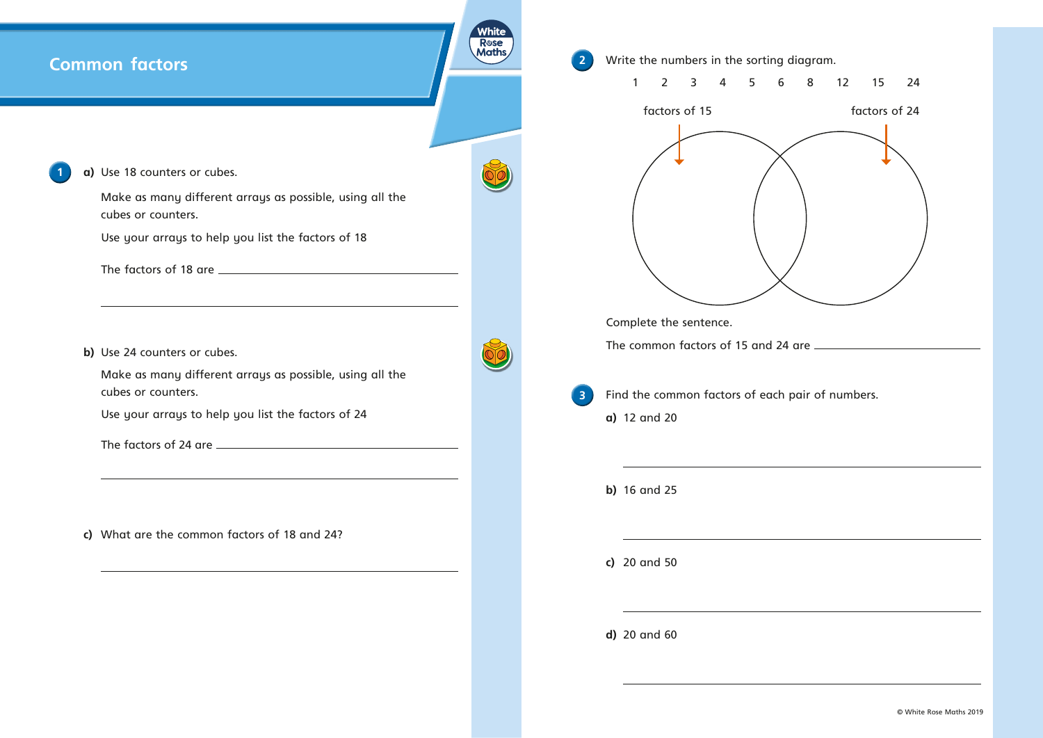**R**ose **Maths 2** Write the numbers in the sorting diagram. 1 2 3 4 5 6 8 12 15 24 factors of 15 factors of 24 Complete the sentence. The common factors of 15 and 24 are **3** Find the common factors of each pair of numbers. **a)**  12 and 20 **b)**  16 and 25 **c)**  20 and 50 **d)**  20 and 60



## **Common factors**



Make as many different arrays as possible, using all the cubes or counters.

Use your arrays to help you list the factors of 18

The factors of 18 are

**b)** Use 24 counters or cubes.

Make as many different arrays as possible, using all the cubes or counters.

Use your arrays to help you list the factors of 24

The factors of 24 are

**c)**  What are the common factors of 18 and 24?

© White Rose Maths 2019